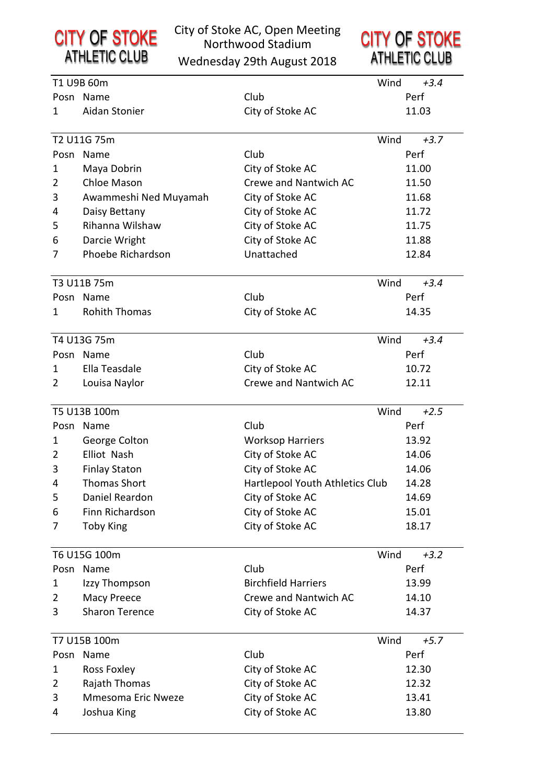**CITY OF STOKE**<br>ATHLETIC CLUB

### City of Stoke AC, Open Meeting Northwood Stadium

Wednesday 29th August 2018

|                | T1 U9B 60m            |                                 | Wind | $+3.4$ |
|----------------|-----------------------|---------------------------------|------|--------|
|                | Posn Name             | Club                            |      | Perf   |
| 1              | Aidan Stonier         | City of Stoke AC                |      | 11.03  |
|                |                       |                                 |      |        |
|                | T2 U11G 75m           |                                 | Wind | $+3.7$ |
| Posn           | Name                  | Club                            |      | Perf   |
| 1              | Maya Dobrin           | City of Stoke AC                |      | 11.00  |
| 2              | <b>Chloe Mason</b>    | Crewe and Nantwich AC           |      | 11.50  |
| 3              | Awammeshi Ned Muyamah | City of Stoke AC                |      | 11.68  |
| 4              | Daisy Bettany         | City of Stoke AC                |      | 11.72  |
| 5              | Rihanna Wilshaw       | City of Stoke AC                |      | 11.75  |
| 6              | Darcie Wright         | City of Stoke AC                |      | 11.88  |
| 7              | Phoebe Richardson     | Unattached                      |      | 12.84  |
|                |                       |                                 |      |        |
|                | T3 U11B 75m           |                                 | Wind | $+3.4$ |
|                | Posn Name             | Club                            |      | Perf   |
| 1              | <b>Rohith Thomas</b>  | City of Stoke AC                |      | 14.35  |
|                | T4 U13G 75m           |                                 | Wind | $+3.4$ |
|                | Posn Name             | Club                            |      | Perf   |
| 1.             | Ella Teasdale         | City of Stoke AC                |      | 10.72  |
| 2              | Louisa Naylor         | Crewe and Nantwich AC           |      | 12.11  |
|                |                       |                                 |      |        |
|                | T5 U13B 100m          |                                 | Wind | $+2.5$ |
|                | Posn Name             | Club                            |      | Perf   |
| 1              | George Colton         | <b>Worksop Harriers</b>         |      | 13.92  |
| 2              | Elliot Nash           | City of Stoke AC                |      | 14.06  |
| 3              | <b>Finlay Staton</b>  | City of Stoke AC                |      | 14.06  |
| 4              | <b>Thomas Short</b>   | Hartlepool Youth Athletics Club |      | 14.28  |
| 5              | Daniel Reardon        | City of Stoke AC                |      | 14.69  |
| 6              | Finn Richardson       | City of Stoke AC                |      | 15.01  |
| 7              | <b>Toby King</b>      | City of Stoke AC                |      | 18.17  |
|                |                       |                                 |      |        |
|                | T6 U15G 100m          |                                 | Wind | $+3.2$ |
|                | Posn Name             | Club                            |      | Perf   |
| 1              | Izzy Thompson         | <b>Birchfield Harriers</b>      |      | 13.99  |
| 2              | Macy Preece           | Crewe and Nantwich AC           |      | 14.10  |
| 3              | <b>Sharon Terence</b> | City of Stoke AC                |      | 14.37  |
|                | T7 U15B 100m          |                                 | Wind | $+5.7$ |
|                | Posn Name             | Club                            |      | Perf   |
| 1              | Ross Foxley           | City of Stoke AC                |      | 12.30  |
| $\overline{2}$ | Rajath Thomas         | City of Stoke AC                |      | 12.32  |
| 3              | Mmesoma Eric Nweze    | City of Stoke AC                |      | 13.41  |
| 4              |                       | City of Stoke AC                |      | 13.80  |
|                | Joshua King           |                                 |      |        |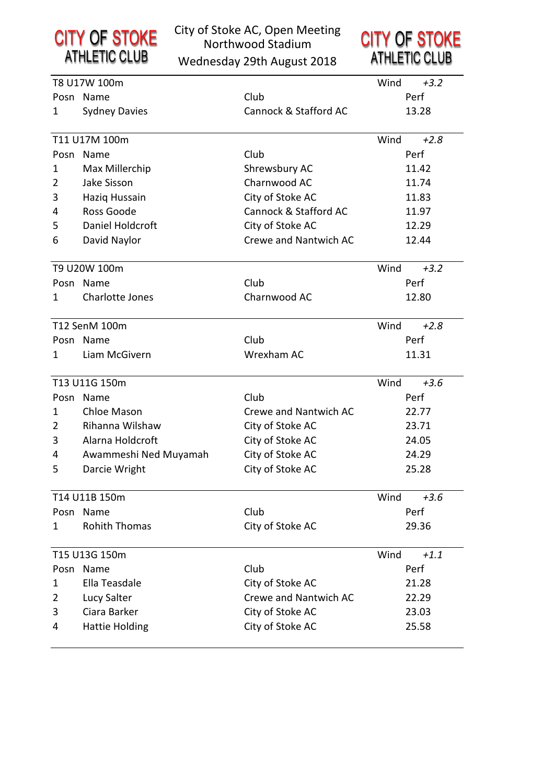

### City of Stoke AC, Open Meeting Northwood Stadium

**CITY OF STOKE**<br>ATHLETIC CLUB

Wednesday 29th August 2018

|   | T8 U17W 100m          |                       | Wind  | $+3.2$ |
|---|-----------------------|-----------------------|-------|--------|
|   | Posn Name             | Club                  |       | Perf   |
| 1 | <b>Sydney Davies</b>  | Cannock & Stafford AC | 13.28 |        |
|   | T11 U17M 100m         |                       | Wind  | $+2.8$ |
|   | Posn Name             | Club                  |       | Perf   |
| 1 | Max Millerchip        | Shrewsbury AC         |       | 11.42  |
| 2 | Jake Sisson           | Charnwood AC          |       | 11.74  |
| 3 | Haziq Hussain         | City of Stoke AC      |       | 11.83  |
| 4 | Ross Goode            | Cannock & Stafford AC |       | 11.97  |
| 5 | Daniel Holdcroft      | City of Stoke AC      |       | 12.29  |
| 6 | David Naylor          | Crewe and Nantwich AC |       | 12.44  |
|   | T9 U20W 100m          |                       | Wind  | $+3.2$ |
|   | Posn Name             | Club                  |       | Perf   |
| 1 | Charlotte Jones       | Charnwood AC          |       | 12.80  |
|   | T12 SenM 100m         |                       | Wind  | $+2.8$ |
|   | Posn Name             | Club                  |       | Perf   |
| 1 | Liam McGivern         | Wrexham AC            |       | 11.31  |
|   | T13 U11G 150m         |                       | Wind  | $+3.6$ |
|   | Posn Name             | Club                  |       | Perf   |
| 1 | Chloe Mason           | Crewe and Nantwich AC |       | 22.77  |
| 2 | Rihanna Wilshaw       | City of Stoke AC      |       | 23.71  |
| 3 | Alarna Holdcroft      | City of Stoke AC      |       | 24.05  |
| 4 | Awammeshi Ned Muyamah | City of Stoke AC      |       | 24.29  |
| 5 | Darcie Wright         | City of Stoke AC      |       | 25.28  |
|   | T14 U11B 150m         |                       | Wind  | $+3.6$ |
|   | Posn Name             | Club                  |       | Perf   |
| 1 | <b>Rohith Thomas</b>  | City of Stoke AC      |       | 29.36  |
|   | T15 U13G 150m         |                       | Wind  | $+1.1$ |
|   | Posn Name             | Club                  |       | Perf   |
| 1 | Ella Teasdale         | City of Stoke AC      |       | 21.28  |
| 2 | Lucy Salter           | Crewe and Nantwich AC |       | 22.29  |
| 3 | Ciara Barker          | City of Stoke AC      |       | 23.03  |
| 4 | <b>Hattie Holding</b> | City of Stoke AC      |       | 25.58  |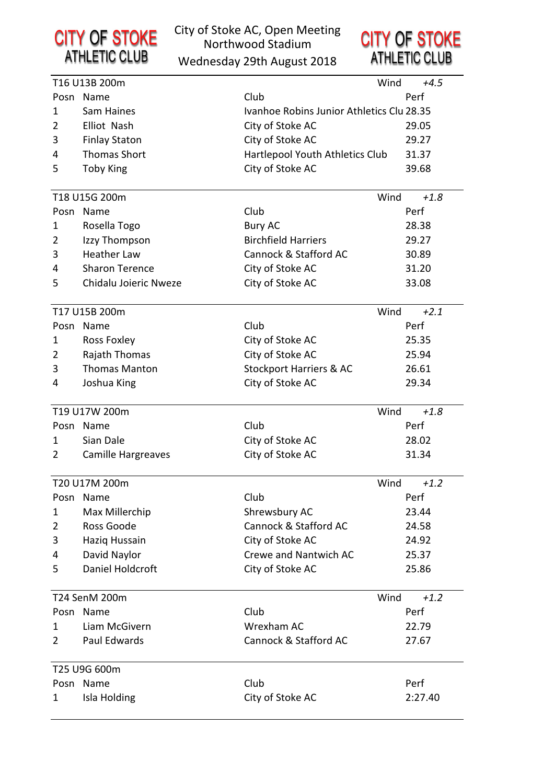

### City of Stoke AC, Open Meeting Northwood Stadium

Wednesday 29th August 2018



|                | T16 U13B 200m             | Wind                                      | $+4.5$  |  |
|----------------|---------------------------|-------------------------------------------|---------|--|
|                | Posn Name                 | Club                                      | Perf    |  |
| 1              | Sam Haines                | Ivanhoe Robins Junior Athletics Clu 28.35 |         |  |
| $\overline{2}$ | Elliot Nash               | City of Stoke AC                          | 29.05   |  |
| 3              | <b>Finlay Staton</b>      | City of Stoke AC                          | 29.27   |  |
| 4              | <b>Thomas Short</b>       | Hartlepool Youth Athletics Club           | 31.37   |  |
| 5              | <b>Toby King</b>          | City of Stoke AC                          | 39.68   |  |
|                |                           |                                           |         |  |
|                | T18 U15G 200m             | Wind                                      | $+1.8$  |  |
|                | Posn Name                 | Club                                      | Perf    |  |
| 1              | Rosella Togo              | <b>Bury AC</b>                            | 28.38   |  |
| 2              | Izzy Thompson             | <b>Birchfield Harriers</b>                | 29.27   |  |
| 3              | <b>Heather Law</b>        | Cannock & Stafford AC                     | 30.89   |  |
| 4              | <b>Sharon Terence</b>     | City of Stoke AC                          | 31.20   |  |
| 5              | Chidalu Joieric Nweze     | City of Stoke AC                          | 33.08   |  |
|                |                           |                                           |         |  |
|                | T17 U15B 200m             | Wind                                      | $+2.1$  |  |
|                | Posn Name                 | Club                                      | Perf    |  |
| 1              | <b>Ross Foxley</b>        | City of Stoke AC                          | 25.35   |  |
| $\overline{2}$ | Rajath Thomas             | City of Stoke AC                          | 25.94   |  |
| 3              | <b>Thomas Manton</b>      | <b>Stockport Harriers &amp; AC</b>        | 26.61   |  |
| 4              | Joshua King               | City of Stoke AC                          | 29.34   |  |
|                | T19 U17W 200m             | Wind                                      | $+1.8$  |  |
|                | Posn Name                 | Club                                      | Perf    |  |
| 1              | Sian Dale                 | City of Stoke AC                          | 28.02   |  |
| 2              | Camille Hargreaves        | City of Stoke AC                          | 31.34   |  |
|                |                           |                                           |         |  |
|                | T20 U17M 200m             | Wind                                      | $+1.2$  |  |
| Posn           | Name                      | Club                                      | Perf    |  |
| 1              | Max Millerchip            | Shrewsbury AC                             | 23.44   |  |
| $\overline{2}$ | Ross Goode                | Cannock & Stafford AC                     | 24.58   |  |
| 3              | Haziq Hussain             | City of Stoke AC                          | 24.92   |  |
| 4              | David Naylor              | Crewe and Nantwich AC                     | 25.37   |  |
| 5              | Daniel Holdcroft          | City of Stoke AC                          | 25.86   |  |
|                |                           |                                           |         |  |
|                | T24 SenM 200m             | Wind                                      | $+1.2$  |  |
|                | Posn Name                 | Club                                      | Perf    |  |
| 1              | Liam McGivern             | Wrexham AC                                | 22.79   |  |
| 2              | Paul Edwards              | Cannock & Stafford AC                     | 27.67   |  |
|                |                           |                                           |         |  |
|                | T25 U9G 600m<br>Posn Name | Club                                      | Perf    |  |
|                |                           |                                           |         |  |
| 1              | Isla Holding              | City of Stoke AC                          | 2:27.40 |  |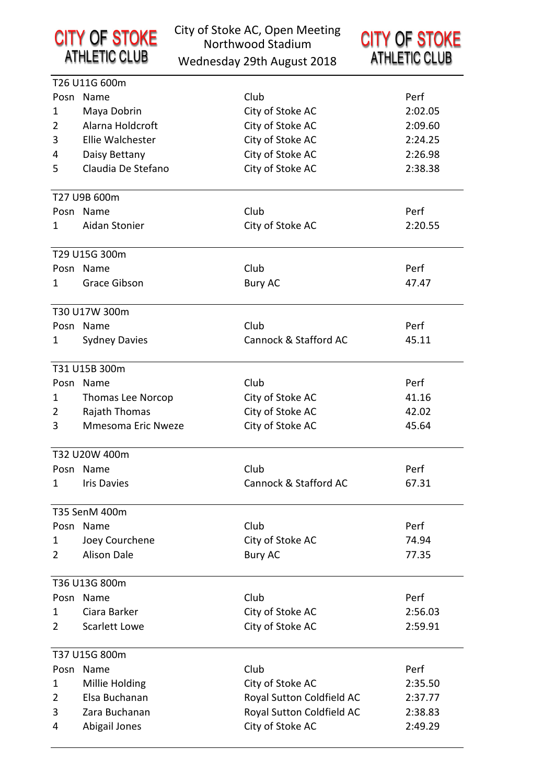|                | <b>CITY OF STOKE</b><br><b>ATHLETIC CLUB</b> | City of Stoke AC, Open Meeting<br>Northwood Stadium<br>Wednesday 29th August 2018 | <b>CITY OF STOKE</b><br><b>ATHLETIC CLUB</b> |
|----------------|----------------------------------------------|-----------------------------------------------------------------------------------|----------------------------------------------|
|                | T26 U11G 600m                                |                                                                                   |                                              |
|                | Posn Name                                    | Club                                                                              | Perf                                         |
| 1              | Maya Dobrin                                  | City of Stoke AC                                                                  | 2:02.05                                      |
| $\overline{2}$ | Alarna Holdcroft                             | City of Stoke AC                                                                  | 2:09.60                                      |
| 3              | Ellie Walchester                             | City of Stoke AC                                                                  | 2:24.25                                      |
| 4              | Daisy Bettany                                | City of Stoke AC                                                                  | 2:26.98                                      |
| 5              | Claudia De Stefano                           | City of Stoke AC                                                                  | 2:38.38                                      |
|                | T27 U9B 600m                                 |                                                                                   |                                              |
|                | Posn Name                                    | Club                                                                              | Perf                                         |
| 1              | Aidan Stonier                                | City of Stoke AC                                                                  | 2:20.55                                      |
|                | T29 U15G 300m                                |                                                                                   |                                              |
|                | Posn Name                                    | Club                                                                              | Perf                                         |
| 1.             | <b>Grace Gibson</b>                          | <b>Bury AC</b>                                                                    | 47.47                                        |
|                | T30 U17W 300m                                |                                                                                   |                                              |
|                | Posn Name                                    | Club                                                                              | Perf                                         |
| 1              | <b>Sydney Davies</b>                         | Cannock & Stafford AC                                                             | 45.11                                        |
|                | T31 U15B 300m                                |                                                                                   |                                              |
|                | Posn Name                                    | Club                                                                              | Perf                                         |
| 1              | Thomas Lee Norcop                            | City of Stoke AC                                                                  | 41.16                                        |
| $\overline{2}$ | Rajath Thomas                                | City of Stoke AC                                                                  | 42.02                                        |
| 3              | Mmesoma Eric Nweze                           | City of Stoke AC                                                                  | 45.64                                        |
|                | T32 U20W 400m                                |                                                                                   |                                              |
|                | Posn Name                                    | Club                                                                              | Perf                                         |
| 1.             | <b>Iris Davies</b>                           | Cannock & Stafford AC                                                             | 67.31                                        |
|                | T35 SenM 400m                                |                                                                                   |                                              |
|                | Posn Name                                    | Club                                                                              | Perf                                         |
| 1              | Joey Courchene                               | City of Stoke AC                                                                  | 74.94                                        |
| 2              | <b>Alison Dale</b>                           | <b>Bury AC</b>                                                                    | 77.35                                        |
|                | T36 U13G 800m                                |                                                                                   |                                              |
|                | Posn Name                                    | Club                                                                              | Perf                                         |
| 1              | Ciara Barker                                 | City of Stoke AC                                                                  | 2:56.03                                      |
| $\overline{2}$ | <b>Scarlett Lowe</b>                         | City of Stoke AC                                                                  | 2:59.91                                      |
|                | T37 U15G 800m                                |                                                                                   |                                              |
|                | Posn Name                                    | Club                                                                              | Perf                                         |
| 1              | Millie Holding                               | City of Stoke AC                                                                  | 2:35.50                                      |
| $\overline{2}$ | Elsa Buchanan                                | Royal Sutton Coldfield AC                                                         | 2:37.77                                      |
| 3              | Zara Buchanan                                | Royal Sutton Coldfield AC                                                         | 2:38.83                                      |
| 4              | Abigail Jones                                | City of Stoke AC                                                                  | 2:49.29                                      |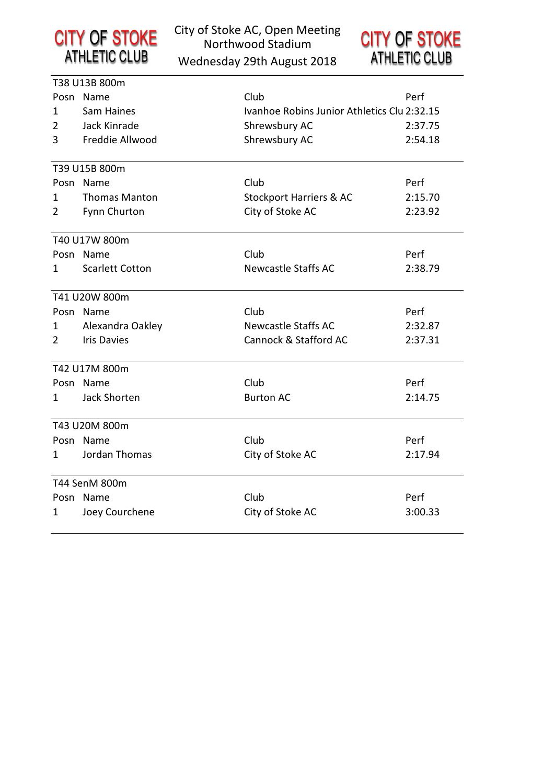

City of Stoke AC, Open Meeting Northwood Stadium

Wednesday 29th August 2018

|                | T38 U13B 800m          |                                             |         |
|----------------|------------------------|---------------------------------------------|---------|
|                | Posn Name              | Club                                        | Perf    |
| $\mathbf{1}$   | Sam Haines             | Ivanhoe Robins Junior Athletics Clu 2:32.15 |         |
| 2              | Jack Kinrade           | Shrewsbury AC                               | 2:37.75 |
| 3              | Freddie Allwood        | Shrewsbury AC                               | 2:54.18 |
|                |                        |                                             |         |
|                | T39 U15B 800m          |                                             |         |
|                | Posn Name              | Club                                        | Perf    |
| 1              | <b>Thomas Manton</b>   | <b>Stockport Harriers &amp; AC</b>          | 2:15.70 |
| 2              | Fynn Churton           | City of Stoke AC                            | 2:23.92 |
|                | T40 U17W 800m          |                                             |         |
|                | Posn Name              | Club                                        | Perf    |
| 1              | <b>Scarlett Cotton</b> | <b>Newcastle Staffs AC</b>                  | 2:38.79 |
|                | T41 U20W 800m          |                                             |         |
|                | Posn Name              | Club                                        | Perf    |
| 1              | Alexandra Oakley       | <b>Newcastle Staffs AC</b>                  | 2:32.87 |
| $\overline{2}$ | <b>Iris Davies</b>     | Cannock & Stafford AC                       | 2:37.31 |
|                |                        |                                             |         |
|                | T42 U17M 800m          |                                             |         |
|                | Posn Name              | Club                                        | Perf    |
| 1              | Jack Shorten           | <b>Burton AC</b>                            | 2:14.75 |
|                | T43 U20M 800m          |                                             |         |
|                | Posn Name              | Club                                        | Perf    |
| 1              | Jordan Thomas          | City of Stoke AC                            | 2:17.94 |
|                |                        |                                             |         |
|                | T44 SenM 800m          |                                             |         |
|                | Posn Name              | Club                                        | Perf    |
| 1              | Joey Courchene         | City of Stoke AC                            | 3:00.33 |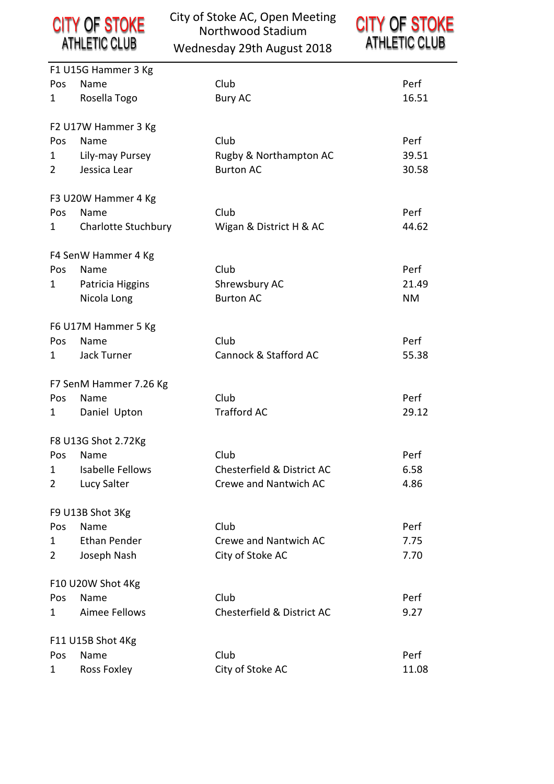

|                | F1 U15G Hammer 3 Kg        |                            |           |
|----------------|----------------------------|----------------------------|-----------|
| Pos            | Name                       | Club                       | Perf      |
| 1              | Rosella Togo               | <b>Bury AC</b>             | 16.51     |
|                | F2 U17W Hammer 3 Kg        |                            |           |
| Pos            | Name                       | Club                       | Perf      |
| 1              | Lily-may Pursey            | Rugby & Northampton AC     | 39.51     |
| $\overline{2}$ | Jessica Lear               | <b>Burton AC</b>           | 30.58     |
|                | F3 U20W Hammer 4 Kg        |                            |           |
| Pos            | Name                       | Club                       | Perf      |
| 1              | <b>Charlotte Stuchbury</b> | Wigan & District H & AC    | 44.62     |
|                | F4 SenW Hammer 4 Kg        |                            |           |
| Pos            | Name                       | Club                       | Perf      |
| 1              | Patricia Higgins           | Shrewsbury AC              | 21.49     |
|                | Nicola Long                | <b>Burton AC</b>           | <b>NM</b> |
|                | F6 U17M Hammer 5 Kg        |                            |           |
| Pos            | Name                       | Club                       | Perf      |
| 1              | Jack Turner                | Cannock & Stafford AC      | 55.38     |
|                | F7 SenM Hammer 7.26 Kg     |                            |           |
| Pos            | Name                       | Club                       | Perf      |
| 1              | Daniel Upton               | <b>Trafford AC</b>         | 29.12     |
|                | F8 U13G Shot 2.72Kg        |                            |           |
| Pos            | Name                       | Club                       | Perf      |
| 1              | <b>Isabelle Fellows</b>    | Chesterfield & District AC | 6.58      |
| $\overline{2}$ | Lucy Salter                | Crewe and Nantwich AC      | 4.86      |
|                | F9 U13B Shot 3Kg           |                            |           |
| Pos            | Name                       | Club                       | Perf      |
| 1              | Ethan Pender               | Crewe and Nantwich AC      | 7.75      |
| $\overline{2}$ | Joseph Nash                | City of Stoke AC           | 7.70      |
|                | F10 U20W Shot 4Kg          |                            |           |
| Pos            | Name                       | Club                       | Perf      |
| 1              | Aimee Fellows              | Chesterfield & District AC | 9.27      |
|                | F11 U15B Shot 4Kg          |                            |           |
| Pos            | Name                       | Club                       | Perf      |
| 1              | Ross Foxley                | City of Stoke AC           | 11.08     |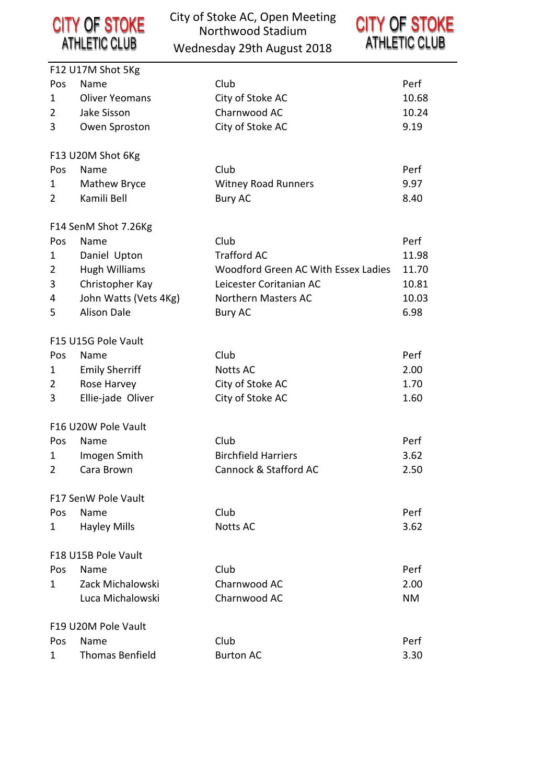City of Stoke AC, Open Meeting **CITY OF STOKE**<br>ATHLETIC CLUB Northwood Stadium Wednesday 29th August 2018

|                | F12 U17M Shot 5Kg      |                                     |           |
|----------------|------------------------|-------------------------------------|-----------|
| Pos            | Name                   | Club                                | Perf      |
| 1              | <b>Oliver Yeomans</b>  | City of Stoke AC                    | 10.68     |
| 2              | Jake Sisson            | Charnwood AC                        | 10.24     |
| 3              | Owen Sproston          | City of Stoke AC                    | 9.19      |
|                |                        |                                     |           |
|                | F13 U20M Shot 6Kg      |                                     |           |
| Pos            | Name                   | Club                                | Perf      |
| 1              | Mathew Bryce           | <b>Witney Road Runners</b>          | 9.97      |
| $\overline{2}$ | Kamili Bell            | <b>Bury AC</b>                      | 8.40      |
|                | F14 SenM Shot 7.26Kg   |                                     |           |
| Pos            | Name                   | Club                                | Perf      |
| 1              | Daniel Upton           | <b>Trafford AC</b>                  | 11.98     |
| 2              | <b>Hugh Williams</b>   | Woodford Green AC With Essex Ladies | 11.70     |
| 3              | Christopher Kay        | Leicester Coritanian AC             | 10.81     |
| 4              | John Watts (Vets 4Kg)  | Northern Masters AC                 | 10.03     |
| 5              | <b>Alison Dale</b>     | <b>Bury AC</b>                      | 6.98      |
|                |                        |                                     |           |
|                | F15 U15G Pole Vault    |                                     |           |
| Pos            | Name                   | Club                                | Perf      |
| 1              | <b>Emily Sherriff</b>  | <b>Notts AC</b>                     | 2.00      |
| 2              | Rose Harvey            | City of Stoke AC                    | 1.70      |
| 3              | Ellie-jade Oliver      | City of Stoke AC                    | 1.60      |
|                | F16 U20W Pole Vault    |                                     |           |
| Pos            | Name                   | Club                                | Perf      |
| 1              | Imogen Smith           | <b>Birchfield Harriers</b>          | 3.62      |
| 2              | Cara Brown             | Cannock & Stafford AC               | 2.50      |
|                | F17 SenW Pole Vault    |                                     |           |
| Pos            | Name                   | Club                                | Perf      |
| 1              | <b>Hayley Mills</b>    | <b>Notts AC</b>                     | 3.62      |
|                | F18 U15B Pole Vault    |                                     |           |
| Pos            | Name                   | Club                                | Perf      |
| 1              | Zack Michalowski       | Charnwood AC                        | 2.00      |
|                | Luca Michalowski       | Charnwood AC                        | <b>NM</b> |
|                |                        |                                     |           |
|                | F19 U20M Pole Vault    |                                     |           |
| Pos.           | Name                   | Club                                | Perf      |
| 1              | <b>Thomas Benfield</b> | <b>Burton AC</b>                    | 3.30      |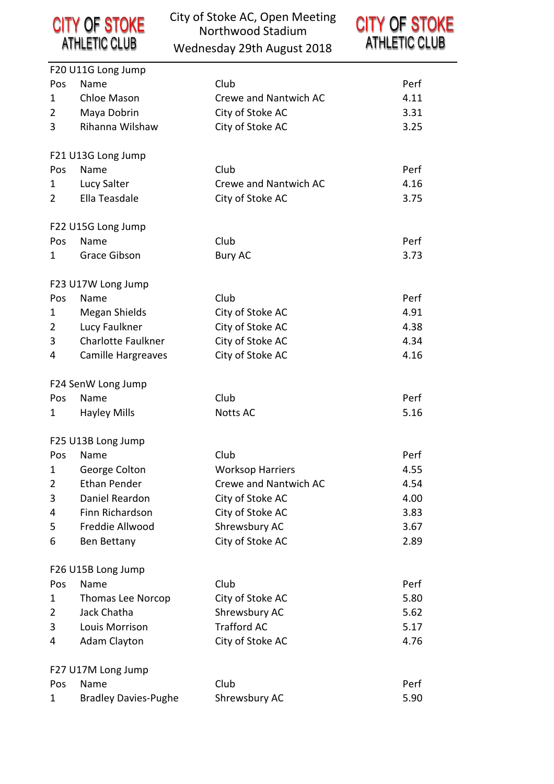

|                | F20 U11G Long Jump          |                         |      |
|----------------|-----------------------------|-------------------------|------|
| Pos            | Name                        | Club                    | Perf |
| 1              | Chloe Mason                 | Crewe and Nantwich AC   | 4.11 |
| 2              | Maya Dobrin                 | City of Stoke AC        | 3.31 |
| 3              | Rihanna Wilshaw             | City of Stoke AC        | 3.25 |
|                | F21 U13G Long Jump          |                         |      |
| Pos            | Name                        | Club                    | Perf |
| 1              | Lucy Salter                 | Crewe and Nantwich AC   | 4.16 |
| $\overline{2}$ | Ella Teasdale               | City of Stoke AC        | 3.75 |
|                | F22 U15G Long Jump          |                         |      |
| Pos            | Name                        | Club                    | Perf |
| 1              | Grace Gibson                | <b>Bury AC</b>          | 3.73 |
|                | F23 U17W Long Jump          |                         |      |
| Pos            | Name                        | Club                    | Perf |
| 1              | Megan Shields               | City of Stoke AC        | 4.91 |
| $\overline{2}$ | Lucy Faulkner               | City of Stoke AC        | 4.38 |
| 3              | <b>Charlotte Faulkner</b>   | City of Stoke AC        | 4.34 |
| 4              | Camille Hargreaves          | City of Stoke AC        | 4.16 |
|                | F24 SenW Long Jump          |                         |      |
| Pos            | Name                        | Club                    | Perf |
| 1              | <b>Hayley Mills</b>         | <b>Notts AC</b>         | 5.16 |
|                | F25 U13B Long Jump          |                         |      |
| Pos            | Name                        | Club                    | Perf |
| 1              | George Colton               | <b>Worksop Harriers</b> | 4.55 |
| 2              | <b>Ethan Pender</b>         | Crewe and Nantwich AC   | 4.54 |
| 3              | Daniel Reardon              | City of Stoke AC        | 4.00 |
| 4              | Finn Richardson             | City of Stoke AC        | 3.83 |
| 5              | Freddie Allwood             | Shrewsbury AC           | 3.67 |
| 6              | Ben Bettany                 | City of Stoke AC        | 2.89 |
|                | F26 U15B Long Jump          |                         |      |
| Pos            | Name                        | Club                    | Perf |
| 1              | <b>Thomas Lee Norcop</b>    | City of Stoke AC        | 5.80 |
| 2              | Jack Chatha                 | Shrewsbury AC           | 5.62 |
| 3              | Louis Morrison              | <b>Trafford AC</b>      | 5.17 |
| 4              | <b>Adam Clayton</b>         | City of Stoke AC        | 4.76 |
|                | F27 U17M Long Jump          |                         |      |
| Pos            | Name                        | Club                    | Perf |
| 1              | <b>Bradley Davies-Pughe</b> | Shrewsbury AC           | 5.90 |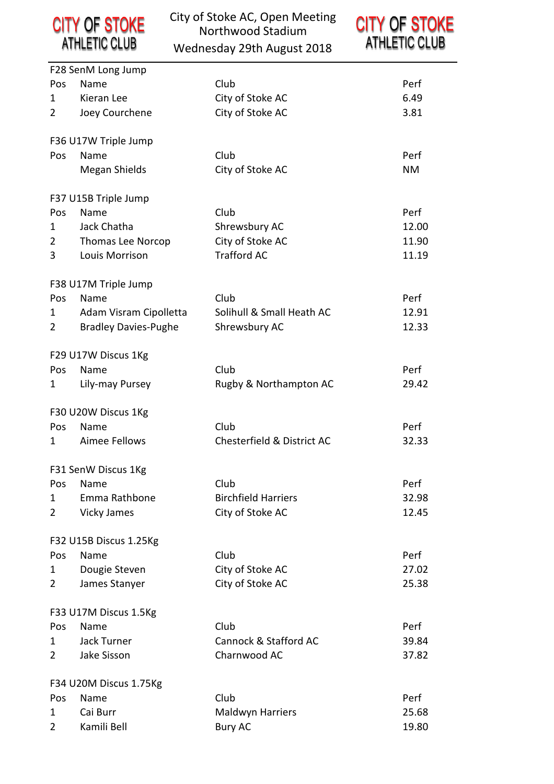**CITY OF STOKE**<br>ATHLETIC CLUB

|     | F28 SenM Long Jump          |                            |           |
|-----|-----------------------------|----------------------------|-----------|
| Pos | Name                        | Club                       | Perf      |
| 1   | Kieran Lee                  | City of Stoke AC           | 6.49      |
| 2   | Joey Courchene              | City of Stoke AC           | 3.81      |
|     |                             |                            |           |
|     | F36 U17W Triple Jump        |                            |           |
| Pos | Name                        | Club                       | Perf      |
|     | Megan Shields               | City of Stoke AC           | <b>NM</b> |
|     |                             |                            |           |
|     | F37 U15B Triple Jump        |                            |           |
| Pos | Name                        | Club                       | Perf      |
| 1   | Jack Chatha                 | Shrewsbury AC              | 12.00     |
| 2   | <b>Thomas Lee Norcop</b>    | City of Stoke AC           | 11.90     |
| 3   | Louis Morrison              | <b>Trafford AC</b>         | 11.19     |
|     |                             |                            |           |
|     | F38 U17M Triple Jump        |                            |           |
| Pos | Name                        | Club                       | Perf      |
| 1   | Adam Visram Cipolletta      | Solihull & Small Heath AC  | 12.91     |
| 2   | <b>Bradley Davies-Pughe</b> | Shrewsbury AC              | 12.33     |
|     |                             |                            |           |
|     | F29 U17W Discus 1Kg         |                            |           |
| Pos | Name                        | Club                       | Perf      |
| 1   | Lily-may Pursey             | Rugby & Northampton AC     | 29.42     |
|     |                             |                            |           |
|     | F30 U20W Discus 1Kg         |                            |           |
| Pos | Name                        | Club                       | Perf      |
| 1   | Aimee Fellows               | Chesterfield & District AC | 32.33     |
|     | F31 SenW Discus 1Kg         |                            |           |
|     | Pos Name                    | Club                       | Perf      |
| 1   | Emma Rathbone               | <b>Birchfield Harriers</b> | 32.98     |
| 2   | <b>Vicky James</b>          | City of Stoke AC           | 12.45     |
|     |                             |                            |           |
|     | F32 U15B Discus 1.25Kg      |                            |           |
| Pos | Name                        | Club                       | Perf      |
| 1   | Dougie Steven               | City of Stoke AC           | 27.02     |
| 2   | James Stanyer               | City of Stoke AC           | 25.38     |
|     |                             |                            |           |
|     | F33 U17M Discus 1.5Kg       |                            |           |
| Pos | Name                        | Club                       | Perf      |
| 1   | Jack Turner                 | Cannock & Stafford AC      | 39.84     |
| 2   | Jake Sisson                 | Charnwood AC               | 37.82     |
|     |                             |                            |           |
|     | F34 U20M Discus 1.75Kg      |                            |           |
| Pos | Name                        | Club                       | Perf      |
| 1   | Cai Burr                    | Maldwyn Harriers           | 25.68     |
| 2   | Kamili Bell                 | <b>Bury AC</b>             | 19.80     |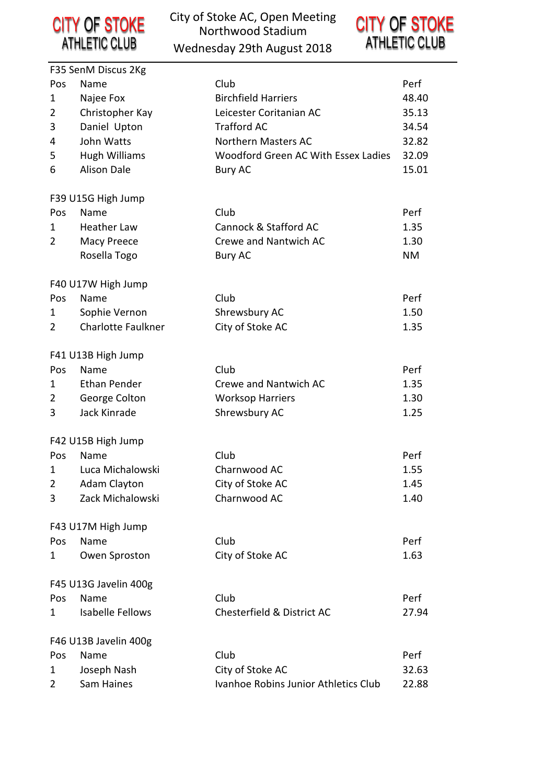

|                | F35 SenM Discus 2Kg       |                                      |           |
|----------------|---------------------------|--------------------------------------|-----------|
| Pos            | Name                      | Club                                 | Perf      |
| 1              | Najee Fox                 | <b>Birchfield Harriers</b>           | 48.40     |
| 2              | Christopher Kay           | Leicester Coritanian AC              | 35.13     |
| 3              | Daniel Upton              | <b>Trafford AC</b>                   | 34.54     |
| 4              | John Watts                | Northern Masters AC                  | 32.82     |
| 5              | <b>Hugh Williams</b>      | Woodford Green AC With Essex Ladies  | 32.09     |
| 6              | <b>Alison Dale</b>        | <b>Bury AC</b>                       | 15.01     |
|                | F39 U15G High Jump        |                                      |           |
| Pos            | Name                      | Club                                 | Perf      |
| 1              | <b>Heather Law</b>        | Cannock & Stafford AC                | 1.35      |
| 2              | Macy Preece               | Crewe and Nantwich AC                | 1.30      |
|                | Rosella Togo              | <b>Bury AC</b>                       | <b>NM</b> |
|                | F40 U17W High Jump        |                                      |           |
| Pos            | Name                      | Club                                 | Perf      |
| 1              | Sophie Vernon             | Shrewsbury AC                        | 1.50      |
| $\overline{2}$ | <b>Charlotte Faulkner</b> | City of Stoke AC                     | 1.35      |
|                | F41 U13B High Jump        |                                      |           |
| Pos            | Name                      | Club                                 | Perf      |
| 1              | <b>Ethan Pender</b>       | Crewe and Nantwich AC                | 1.35      |
| $\overline{2}$ | George Colton             | <b>Worksop Harriers</b>              | 1.30      |
| 3              | Jack Kinrade              | Shrewsbury AC                        | 1.25      |
|                | F42 U15B High Jump        |                                      |           |
| Pos            | Name                      | Club                                 | Perf      |
| 1              | Luca Michalowski          | Charnwood AC                         | 1.55      |
| $\overline{2}$ | <b>Adam Clayton</b>       | City of Stoke AC                     | 1.45      |
| 3              | Zack Michalowski          | Charnwood AC                         | 1.40      |
|                | F43 U17M High Jump        |                                      |           |
| Pos            | Name                      | Club                                 | Perf      |
| 1              | Owen Sproston             | City of Stoke AC                     | 1.63      |
|                | F45 U13G Javelin 400g     |                                      |           |
| Pos            | Name                      | Club                                 | Perf      |
| 1              | <b>Isabelle Fellows</b>   | Chesterfield & District AC           | 27.94     |
|                | F46 U13B Javelin 400g     |                                      |           |
| Pos            | Name                      | Club                                 | Perf      |
| 1              | Joseph Nash               | City of Stoke AC                     | 32.63     |
| 2              | Sam Haines                | Ivanhoe Robins Junior Athletics Club | 22.88     |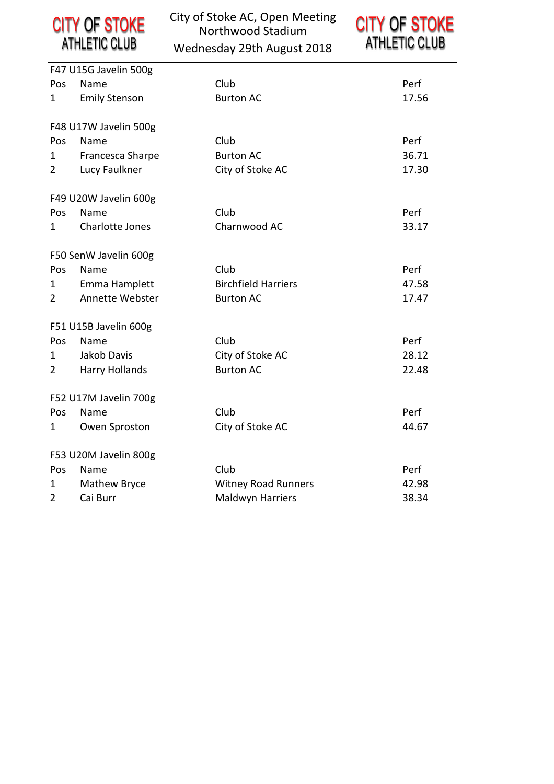| <b>CITY OF STOKE</b> | City o |
|----------------------|--------|
| <b>ATHLETIC CLUB</b> | he W   |

|                | F47 U15G Javelin 500g |                            |       |
|----------------|-----------------------|----------------------------|-------|
| Pos            | Name                  | Club                       | Perf  |
| $\mathbf{1}$   | <b>Emily Stenson</b>  | <b>Burton AC</b>           | 17.56 |
|                |                       |                            |       |
|                | F48 U17W Javelin 500g |                            |       |
| Pos            | Name                  | Club                       | Perf  |
| $\mathbf{1}$   | Francesca Sharpe      | <b>Burton AC</b>           | 36.71 |
| $\overline{2}$ | Lucy Faulkner         | City of Stoke AC           | 17.30 |
|                | F49 U20W Javelin 600g |                            |       |
| Pos            | Name                  | Club                       | Perf  |
| 1              | Charlotte Jones       | Charnwood AC               | 33.17 |
|                |                       |                            |       |
|                | F50 SenW Javelin 600g |                            |       |
| Pos            | Name                  | Club                       | Perf  |
| 1              | Emma Hamplett         | <b>Birchfield Harriers</b> | 47.58 |
| $\overline{2}$ | Annette Webster       | <b>Burton AC</b>           | 17.47 |
|                | F51 U15B Javelin 600g |                            |       |
| Pos            | Name                  | Club                       | Perf  |
| 1              | Jakob Davis           | City of Stoke AC           | 28.12 |
| $\overline{2}$ | Harry Hollands        | <b>Burton AC</b>           | 22.48 |
|                | F52 U17M Javelin 700g |                            |       |
| Pos.           | Name                  | Club                       | Perf  |
| 1              | Owen Sproston         | City of Stoke AC           | 44.67 |
|                |                       |                            |       |
|                | F53 U20M Javelin 800g |                            |       |
| Pos            | Name                  | Club                       | Perf  |
| 1              | Mathew Bryce          | <b>Witney Road Runners</b> | 42.98 |
| $\overline{2}$ | Cai Burr              | Maldwyn Harriers           | 38.34 |